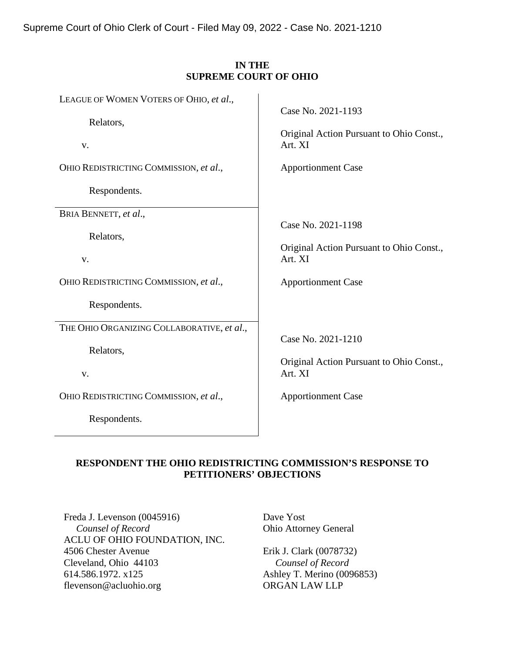Supreme Court of Ohio Clerk of Court - Filed May 09, 2022 - Case No. 2021-1210

### **IN THE SUPREME COURT OF OHIO**

| LEAGUE OF WOMEN VOTERS OF OHIO, et al.,                | Case No. 2021-1193                       |
|--------------------------------------------------------|------------------------------------------|
| Relators,                                              | Original Action Pursuant to Ohio Const., |
| V.                                                     | Art. XI                                  |
| OHIO REDISTRICTING COMMISSION, et al.,<br>Respondents. | <b>Apportionment Case</b>                |
| BRIA BENNETT, et al.,                                  | Case No. 2021-1198                       |
| Relators,                                              | Original Action Pursuant to Ohio Const., |
| V.                                                     | Art. XI                                  |
| OHIO REDISTRICTING COMMISSION, et al.,<br>Respondents. | <b>Apportionment Case</b>                |
| THE OHIO ORGANIZING COLLABORATIVE, et al.,             | Case No. 2021-1210                       |
| Relators,                                              | Original Action Pursuant to Ohio Const., |
| V.                                                     | Art. XI                                  |
| OHIO REDISTRICTING COMMISSION, et al.,<br>Respondents. | <b>Apportionment Case</b>                |

### **RESPONDENT THE OHIO REDISTRICTING COMMISSION'S RESPONSE TO PETITIONERS' OBJECTIONS**

Freda J. Levenson (0045916)  *Counsel of Record* ACLU OF OHIO FOUNDATION, INC. 4506 Chester Avenue Cleveland, Ohio 44103 614.586.1972. x125 flevenson@acluohio.org

Dave Yost Ohio Attorney General

Erik J. Clark (0078732)  *Counsel of Record* Ashley T. Merino (0096853) ORGAN LAW LLP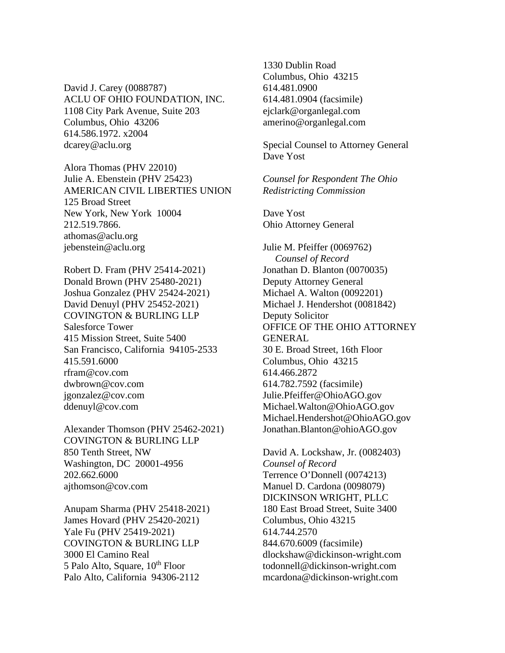David J. Carey (0088787) ACLU OF OHIO FOUNDATION, INC. 1108 City Park Avenue, Suite 203 Columbus, Ohio 43206 614.586.1972. x2004 dcarey@aclu.org

Alora Thomas (PHV 22010) Julie A. Ebenstein (PHV 25423) AMERICAN CIVIL LIBERTIES UNION 125 Broad Street New York, New York 10004 212.519.7866. athomas@aclu.org jebenstein@aclu.org

Robert D. Fram (PHV 25414-2021) Donald Brown (PHV 25480-2021) Joshua Gonzalez (PHV 25424-2021) David Denuyl (PHV 25452-2021) COVINGTON & BURLING LLP Salesforce Tower 415 Mission Street, Suite 5400 San Francisco, California 94105-2533 415.591.6000 rfram@cov.com dwbrown@cov.com jgonzalez@cov.com ddenuyl@cov.com

Alexander Thomson (PHV 25462-2021) COVINGTON & BURLING LLP 850 Tenth Street, NW Washington, DC 20001-4956 202.662.6000 ajthomson@cov.com

Anupam Sharma (PHV 25418-2021) James Hovard (PHV 25420-2021) Yale Fu (PHV 25419-2021) COVINGTON & BURLING LLP 3000 El Camino Real 5 Palo Alto, Square, 10<sup>th</sup> Floor Palo Alto, California 94306-2112

1330 Dublin Road Columbus, Ohio 43215 614.481.0900 614.481.0904 (facsimile) ejclark@organlegal.com amerino@organlegal.com

Special Counsel to Attorney General Dave Yost

*Counsel for Respondent The Ohio Redistricting Commission*

Dave Yost Ohio Attorney General

Julie M. Pfeiffer (0069762)  *Counsel of Record* Jonathan D. Blanton (0070035) Deputy Attorney General Michael A. Walton (0092201) Michael J. Hendershot (0081842) Deputy Solicitor OFFICE OF THE OHIO ATTORNEY GENERAL 30 E. Broad Street, 16th Floor Columbus, Ohio 43215 614.466.2872 614.782.7592 (facsimile) Julie.Pfeiffer@OhioAGO.gov Michael.Walton@OhioAGO.gov Michael.Hendershot@OhioAGO.gov Jonathan.Blanton@ohioAGO.gov

David A. Lockshaw, Jr. (0082403) *Counsel of Record* Terrence O'Donnell (0074213) Manuel D. Cardona (0098079) DICKINSON WRIGHT, PLLC 180 East Broad Street, Suite 3400 Columbus, Ohio 43215 614.744.2570 844.670.6009 (facsimile) dlockshaw@dickinson-wright.com todonnell@dickinson-wright.com mcardona@dickinson-wright.com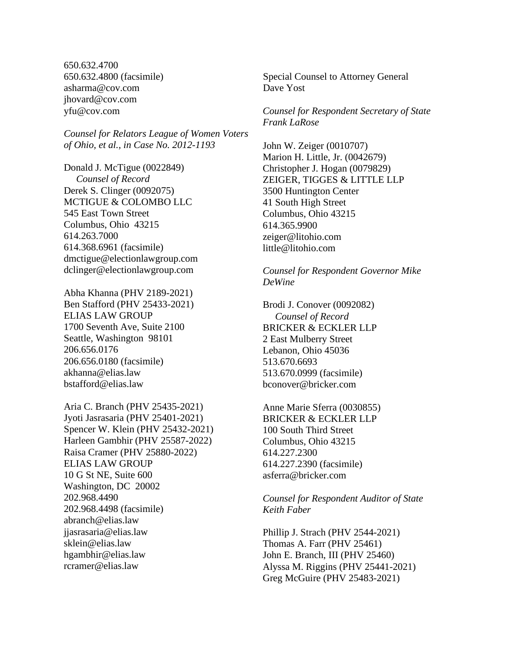650.632.4700 650.632.4800 (facsimile) asharma@cov.com jhovard@cov.com yfu@cov.com

*Counsel for Relators League of Women Voters of Ohio, et al., in Case No. 2012-1193*

Donald J. McTigue (0022849) *Counsel of Record* Derek S. Clinger (0092075) MCTIGUE & COLOMBO LLC 545 East Town Street Columbus, Ohio 43215 614.263.7000 614.368.6961 (facsimile) dmctigue@electionlawgroup.com dclinger@electionlawgroup.com

Abha Khanna (PHV 2189-2021) Ben Stafford (PHV 25433-2021) ELIAS LAW GROUP 1700 Seventh Ave, Suite 2100 Seattle, Washington 98101 206.656.0176 206.656.0180 (facsimile) akhanna@elias.law bstafford@elias.law

Aria C. Branch (PHV 25435-2021) Jyoti Jasrasaria (PHV 25401-2021) Spencer W. Klein (PHV 25432-2021) Harleen Gambhir (PHV 25587-2022) Raisa Cramer (PHV 25880-2022) ELIAS LAW GROUP 10 G St NE, Suite 600 Washington, DC 20002 202.968.4490 202.968.4498 (facsimile) abranch@elias.law jjasrasaria@elias.law sklein@elias.law hgambhir@elias.law rcramer@elias.law

Special Counsel to Attorney General Dave Yost

*Counsel for Respondent Secretary of State Frank LaRose*

John W. Zeiger (0010707) Marion H. Little, Jr. (0042679) Christopher J. Hogan (0079829) ZEIGER, TIGGES & LITTLE LLP 3500 Huntington Center 41 South High Street Columbus, Ohio 43215 614.365.9900 zeiger@litohio.com little@litohio.com

### *Counsel for Respondent Governor Mike DeWine*

Brodi J. Conover (0092082) *Counsel of Record* BRICKER & ECKLER LLP 2 East Mulberry Street Lebanon, Ohio 45036 513.670.6693 513.670.0999 (facsimile) bconover@bricker.com

Anne Marie Sferra (0030855) BRICKER & ECKLER LLP 100 South Third Street Columbus, Ohio 43215 614.227.2300 614.227.2390 (facsimile) asferra@bricker.com

*Counsel for Respondent Auditor of State Keith Faber*

Phillip J. Strach (PHV 2544-2021) Thomas A. Farr (PHV 25461) John E. Branch, III (PHV 25460) Alyssa M. Riggins (PHV 25441-2021) Greg McGuire (PHV 25483-2021)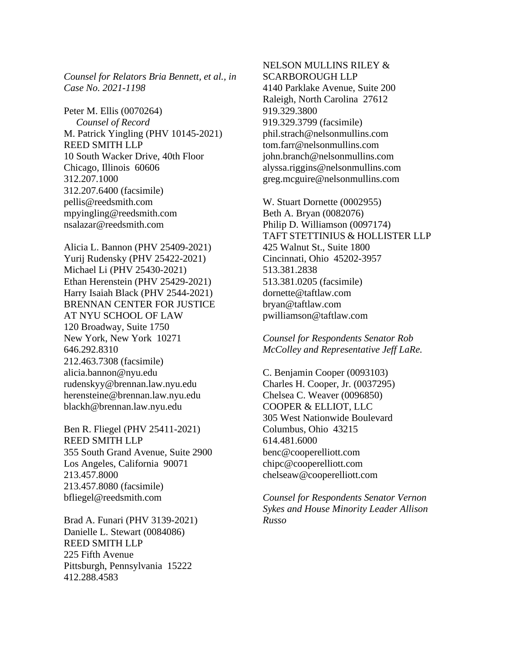*Counsel for Relators Bria Bennett, et al., in Case No. 2021-1198*

Peter M. Ellis (0070264)  *Counsel of Record* M. Patrick Yingling (PHV 10145-2021) REED SMITH LLP 10 South Wacker Drive, 40th Floor Chicago, Illinois 60606 312.207.1000 312.207.6400 (facsimile) pellis@reedsmith.com mpyingling@reedsmith.com nsalazar@reedsmith.com

Alicia L. Bannon (PHV 25409-2021) Yurij Rudensky (PHV 25422-2021) Michael Li (PHV 25430-2021) Ethan Herenstein (PHV 25429-2021) Harry Isaiah Black (PHV 2544-2021) BRENNAN CENTER FOR JUSTICE AT NYU SCHOOL OF LAW 120 Broadway, Suite 1750 New York, New York 10271 646.292.8310 212.463.7308 (facsimile) alicia.bannon@nyu.edu rudenskyy@brennan.law.nyu.edu herensteine@brennan.law.nyu.edu blackh@brennan.law.nyu.edu

Ben R. Fliegel (PHV 25411-2021) REED SMITH LLP 355 South Grand Avenue, Suite 2900 Los Angeles, California 90071 213.457.8000 213.457.8080 (facsimile) bfliegel@reedsmith.com

Brad A. Funari (PHV 3139-2021) Danielle L. Stewart (0084086) REED SMITH LLP 225 Fifth Avenue Pittsburgh, Pennsylvania 15222 412.288.4583

NELSON MULLINS RILEY & SCARBOROUGH LLP 4140 Parklake Avenue, Suite 200 Raleigh, North Carolina 27612 919.329.3800 919.329.3799 (facsimile) phil.strach@nelsonmullins.com tom.farr@nelsonmullins.com john.branch@nelsonmullins.com alyssa.riggins@nelsonmullins.com greg.mcguire@nelsonmullins.com

W. Stuart Dornette (0002955) Beth A. Bryan (0082076) Philip D. Williamson (0097174) TAFT STETTINIUS & HOLLISTER LLP 425 Walnut St., Suite 1800 Cincinnati, Ohio 45202-3957 513.381.2838 513.381.0205 (facsimile) dornette@taftlaw.com bryan@taftlaw.com pwilliamson@taftlaw.com

*Counsel for Respondents Senator Rob McColley and Representative Jeff LaRe.*

C. Benjamin Cooper (0093103) Charles H. Cooper, Jr. (0037295) Chelsea C. Weaver (0096850) COOPER & ELLIOT, LLC 305 West Nationwide Boulevard Columbus, Ohio 43215 614.481.6000 benc@cooperelliott.com chipc@cooperelliott.com chelseaw@cooperelliott.com

*Counsel for Respondents Senator Vernon Sykes and House Minority Leader Allison Russo*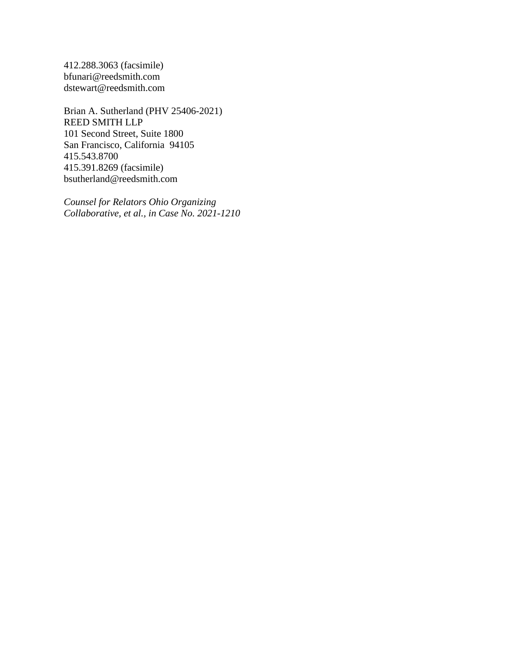412.288.3063 (facsimile) bfunari@reedsmith.com dstewart@reedsmith.com

Brian A. Sutherland (PHV 25406-2021) REED SMITH LLP 101 Second Street, Suite 1800 San Francisco, California 94105 415.543.8700 415.391.8269 (facsimile) bsutherland@reedsmith.com

*Counsel for Relators Ohio Organizing Collaborative, et al., in Case No. 2021-1210*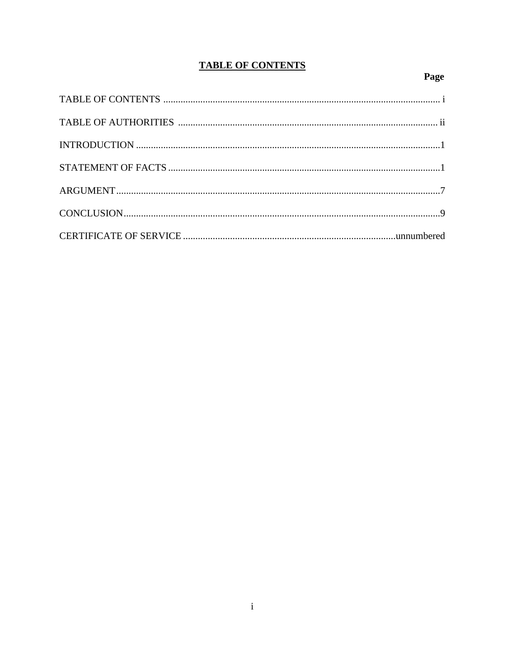## **TABLE OF CONTENTS**

# Page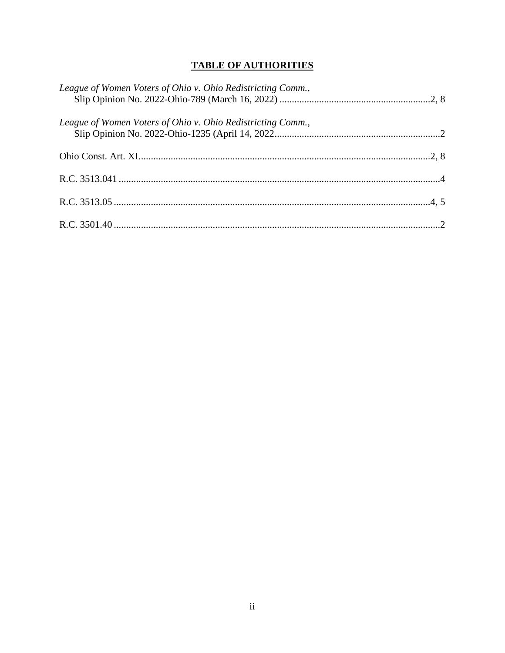## **TABLE OF AUTHORITIES**

| League of Women Voters of Ohio v. Ohio Redistricting Comm., |  |
|-------------------------------------------------------------|--|
| League of Women Voters of Ohio v. Ohio Redistricting Comm., |  |
|                                                             |  |
|                                                             |  |
|                                                             |  |
|                                                             |  |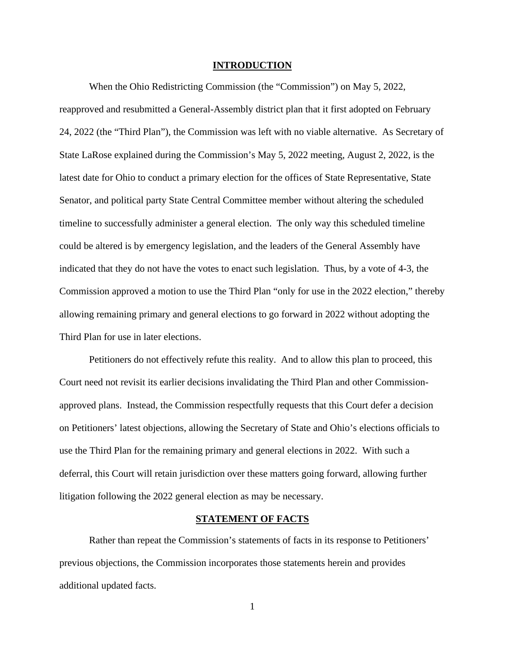#### **INTRODUCTION**

When the Ohio Redistricting Commission (the "Commission") on May 5, 2022, reapproved and resubmitted a General-Assembly district plan that it first adopted on February 24, 2022 (the "Third Plan"), the Commission was left with no viable alternative. As Secretary of State LaRose explained during the Commission's May 5, 2022 meeting, August 2, 2022, is the latest date for Ohio to conduct a primary election for the offices of State Representative, State Senator, and political party State Central Committee member without altering the scheduled timeline to successfully administer a general election. The only way this scheduled timeline could be altered is by emergency legislation, and the leaders of the General Assembly have indicated that they do not have the votes to enact such legislation. Thus, by a vote of 4-3, the Commission approved a motion to use the Third Plan "only for use in the 2022 election," thereby allowing remaining primary and general elections to go forward in 2022 without adopting the Third Plan for use in later elections.

Petitioners do not effectively refute this reality. And to allow this plan to proceed, this Court need not revisit its earlier decisions invalidating the Third Plan and other Commissionapproved plans. Instead, the Commission respectfully requests that this Court defer a decision on Petitioners' latest objections, allowing the Secretary of State and Ohio's elections officials to use the Third Plan for the remaining primary and general elections in 2022. With such a deferral, this Court will retain jurisdiction over these matters going forward, allowing further litigation following the 2022 general election as may be necessary.

### **STATEMENT OF FACTS**

Rather than repeat the Commission's statements of facts in its response to Petitioners' previous objections, the Commission incorporates those statements herein and provides additional updated facts.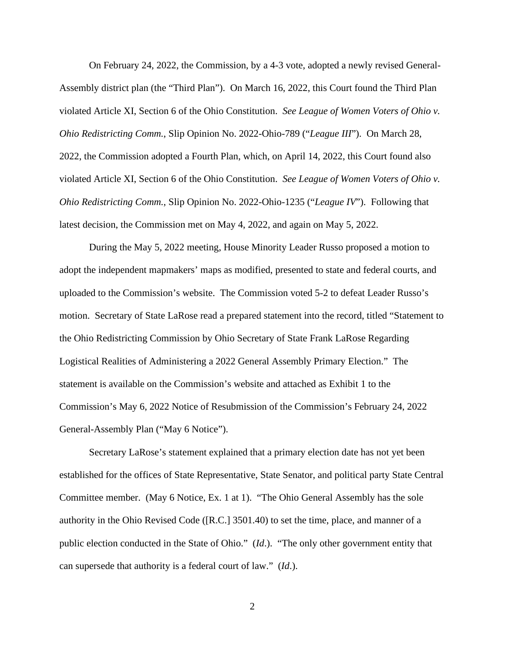On February 24, 2022, the Commission, by a 4-3 vote, adopted a newly revised General-Assembly district plan (the "Third Plan"). On March 16, 2022, this Court found the Third Plan violated Article XI, Section 6 of the Ohio Constitution. *See League of Women Voters of Ohio v. Ohio Redistricting Comm.*, Slip Opinion No. 2022-Ohio-789 ("*League III*"). On March 28, 2022, the Commission adopted a Fourth Plan, which, on April 14, 2022, this Court found also violated Article XI, Section 6 of the Ohio Constitution. *See League of Women Voters of Ohio v. Ohio Redistricting Comm.*, Slip Opinion No. 2022-Ohio-1235 ("*League IV*"). Following that latest decision, the Commission met on May 4, 2022, and again on May 5, 2022.

During the May 5, 2022 meeting, House Minority Leader Russo proposed a motion to adopt the independent mapmakers' maps as modified, presented to state and federal courts, and uploaded to the Commission's website. The Commission voted 5-2 to defeat Leader Russo's motion. Secretary of State LaRose read a prepared statement into the record, titled "Statement to the Ohio Redistricting Commission by Ohio Secretary of State Frank LaRose Regarding Logistical Realities of Administering a 2022 General Assembly Primary Election." The statement is available on the Commission's website and attached as Exhibit 1 to the Commission's May 6, 2022 Notice of Resubmission of the Commission's February 24, 2022 General-Assembly Plan ("May 6 Notice").

Secretary LaRose's statement explained that a primary election date has not yet been established for the offices of State Representative, State Senator, and political party State Central Committee member. (May 6 Notice, Ex. 1 at 1). "The Ohio General Assembly has the sole authority in the Ohio Revised Code ([R.C.] 3501.40) to set the time, place, and manner of a public election conducted in the State of Ohio." (*Id*.). "The only other government entity that can supersede that authority is a federal court of law." (*Id*.).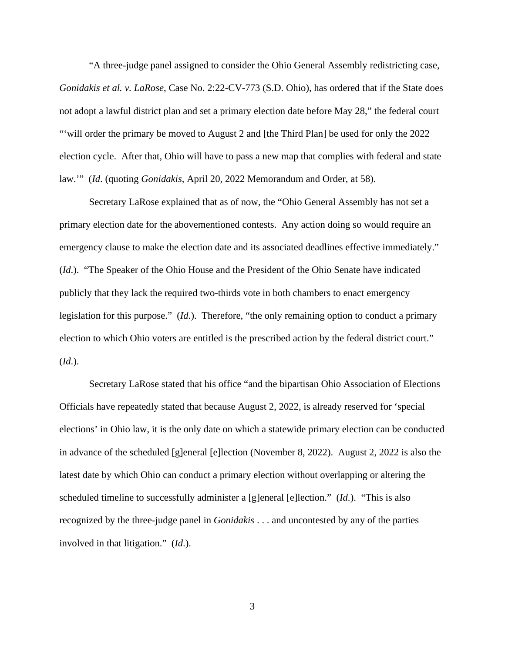"A three-judge panel assigned to consider the Ohio General Assembly redistricting case, *Gonidakis et al. v. LaRose*, Case No. 2:22-CV-773 (S.D. Ohio), has ordered that if the State does not adopt a lawful district plan and set a primary election date before May 28," the federal court "'will order the primary be moved to August 2 and [the Third Plan] be used for only the 2022 election cycle. After that, Ohio will have to pass a new map that complies with federal and state law.'" (*Id*. (quoting *Gonidakis*, April 20, 2022 Memorandum and Order, at 58).

Secretary LaRose explained that as of now, the "Ohio General Assembly has not set a primary election date for the abovementioned contests. Any action doing so would require an emergency clause to make the election date and its associated deadlines effective immediately." (*Id*.). "The Speaker of the Ohio House and the President of the Ohio Senate have indicated publicly that they lack the required two-thirds vote in both chambers to enact emergency legislation for this purpose." (*Id*.). Therefore, "the only remaining option to conduct a primary election to which Ohio voters are entitled is the prescribed action by the federal district court." (*Id*.).

Secretary LaRose stated that his office "and the bipartisan Ohio Association of Elections Officials have repeatedly stated that because August 2, 2022, is already reserved for 'special elections' in Ohio law, it is the only date on which a statewide primary election can be conducted in advance of the scheduled [g]eneral [e]lection (November 8, 2022). August 2, 2022 is also the latest date by which Ohio can conduct a primary election without overlapping or altering the scheduled timeline to successfully administer a [g]eneral [e]lection." (*Id*.). "This is also recognized by the three-judge panel in *Gonidakis* . . . and uncontested by any of the parties involved in that litigation." (*Id*.).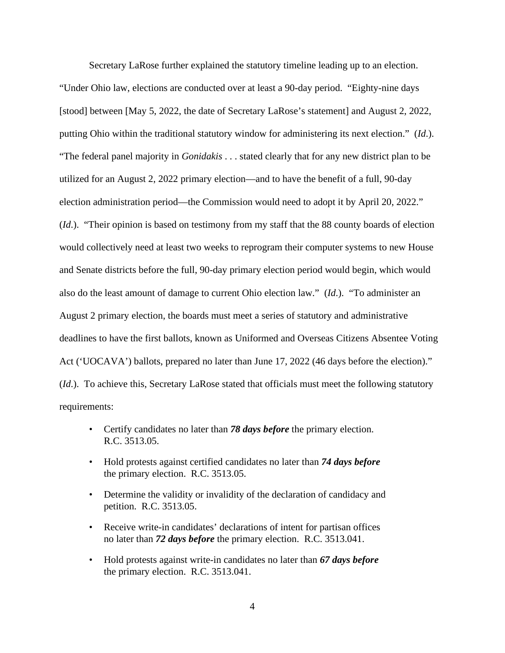Secretary LaRose further explained the statutory timeline leading up to an election. "Under Ohio law, elections are conducted over at least a 90-day period. "Eighty-nine days [stood] between [May 5, 2022, the date of Secretary LaRose's statement] and August 2, 2022, putting Ohio within the traditional statutory window for administering its next election." (*Id*.). "The federal panel majority in *Gonidakis* . . . stated clearly that for any new district plan to be utilized for an August 2, 2022 primary election—and to have the benefit of a full, 90-day election administration period—the Commission would need to adopt it by April 20, 2022." (*Id*.). "Their opinion is based on testimony from my staff that the 88 county boards of election would collectively need at least two weeks to reprogram their computer systems to new House and Senate districts before the full, 90-day primary election period would begin, which would also do the least amount of damage to current Ohio election law." (*Id*.). "To administer an August 2 primary election, the boards must meet a series of statutory and administrative deadlines to have the first ballots, known as Uniformed and Overseas Citizens Absentee Voting Act ('UOCAVA') ballots, prepared no later than June 17, 2022 (46 days before the election)." (*Id*.). To achieve this, Secretary LaRose stated that officials must meet the following statutory requirements:

- Certify candidates no later than *78 days before* the primary election. R.C. 3513.05.
- Hold protests against certified candidates no later than *74 days before* the primary election. R.C. 3513.05.
- Determine the validity or invalidity of the declaration of candidacy and petition. R.C. 3513.05.
- Receive write-in candidates' declarations of intent for partisan offices no later than *72 days before* the primary election. R.C. 3513.041.
- Hold protests against write-in candidates no later than *67 days before* the primary election.R.C. 3513.041.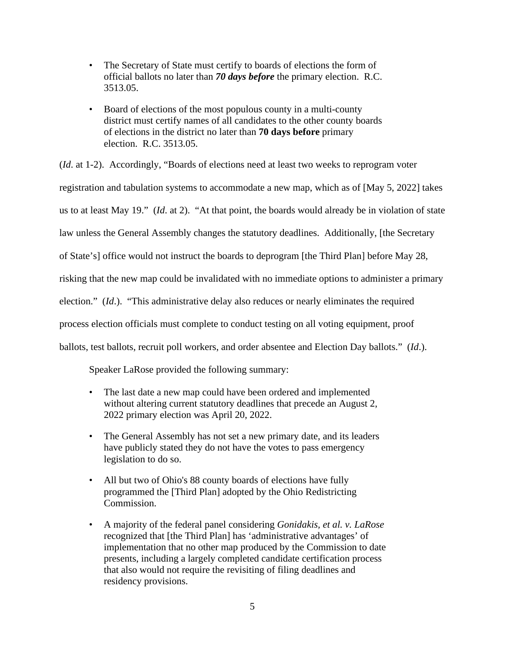- The Secretary of State must certify to boards of elections the form of official ballots no later than *70 days before* the primary election. R.C. 3513.05.
- Board of elections of the most populous county in a multi-county district must certify names of all candidates to the other county boards of elections in the district no later than **70 days before** primary election. R.C. 3513.05.

(*Id*. at 1-2). Accordingly, "Boards of elections need at least two weeks to reprogram voter registration and tabulation systems to accommodate a new map, which as of [May 5, 2022] takes us to at least May 19." (*Id*. at 2). "At that point, the boards would already be in violation of state law unless the General Assembly changes the statutory deadlines. Additionally, [the Secretary of State's] office would not instruct the boards to deprogram [the Third Plan] before May 28, risking that the new map could be invalidated with no immediate options to administer a primary election." (*Id*.). "This administrative delay also reduces or nearly eliminates the required process election officials must complete to conduct testing on all voting equipment, proof ballots, test ballots, recruit poll workers, and order absentee and Election Day ballots." (*Id*.).

Speaker LaRose provided the following summary:

- The last date a new map could have been ordered and implemented without altering current statutory deadlines that precede an August 2, 2022 primary election was April 20, 2022.
- The General Assembly has not set a new primary date, and its leaders have publicly stated they do not have the votes to pass emergency legislation to do so.
- All but two of Ohio's 88 county boards of elections have fully programmed the [Third Plan] adopted by the Ohio Redistricting Commission.
- A majority of the federal panel considering *Gonidakis, et al. v. LaRose*  recognized that [the Third Plan] has 'administrative advantages' of implementation that no other map produced by the Commission to date presents, including a largely completed candidate certification process that also would not require the revisiting of filing deadlines and residency provisions.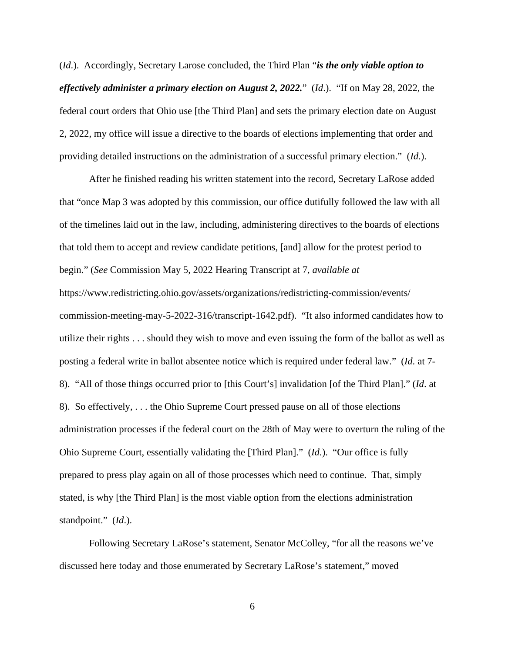(*Id*.). Accordingly, Secretary Larose concluded, the Third Plan "*is the only viable option to effectively administer a primary election on August 2, 2022.*" (*Id*.). "If on May 28, 2022, the federal court orders that Ohio use [the Third Plan] and sets the primary election date on August 2, 2022, my office will issue a directive to the boards of elections implementing that order and providing detailed instructions on the administration of a successful primary election." (*Id*.).

After he finished reading his written statement into the record, Secretary LaRose added that "once Map 3 was adopted by this commission, our office dutifully followed the law with all of the timelines laid out in the law, including, administering directives to the boards of elections that told them to accept and review candidate petitions, [and] allow for the protest period to begin." (*See* Commission May 5, 2022 Hearing Transcript at 7, *available at*  https://www.redistricting.ohio.gov/assets/organizations/redistricting-commission/events/ commission-meeting-may-5-2022-316/transcript-1642.pdf). "It also informed candidates how to utilize their rights . . . should they wish to move and even issuing the form of the ballot as well as posting a federal write in ballot absentee notice which is required under federal law." (*Id*. at 7- 8). "All of those things occurred prior to [this Court's] invalidation [of the Third Plan]." (*Id*. at 8). So effectively, . . . the Ohio Supreme Court pressed pause on all of those elections administration processes if the federal court on the 28th of May were to overturn the ruling of the Ohio Supreme Court, essentially validating the [Third Plan]." (*Id*.). "Our office is fully prepared to press play again on all of those processes which need to continue. That, simply stated, is why [the Third Plan] is the most viable option from the elections administration standpoint." (*Id*.).

Following Secretary LaRose's statement, Senator McColley, "for all the reasons we've discussed here today and those enumerated by Secretary LaRose's statement," moved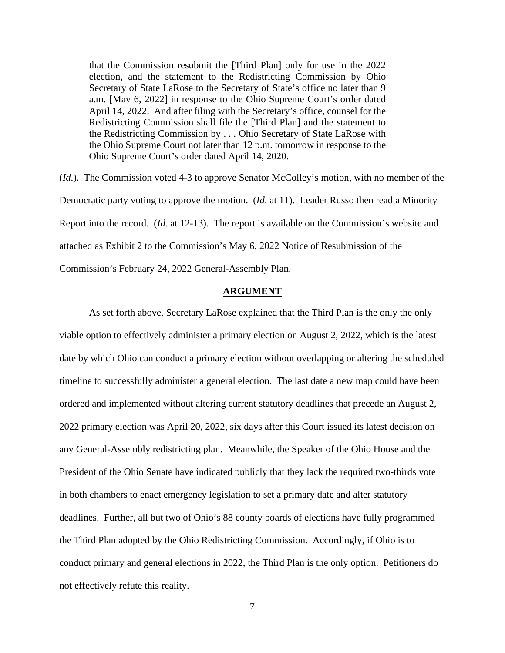that the Commission resubmit the [Third Plan] only for use in the 2022 election, and the statement to the Redistricting Commission by Ohio Secretary of State LaRose to the Secretary of State's office no later than 9 a.m. [May 6, 2022] in response to the Ohio Supreme Court's order dated April 14, 2022. And after filing with the Secretary's office, counsel for the Redistricting Commission shall file the [Third Plan] and the statement to the Redistricting Commission by . . . Ohio Secretary of State LaRose with the Ohio Supreme Court not later than 12 p.m. tomorrow in response to the Ohio Supreme Court's order dated April 14, 2020.

(*Id*.). The Commission voted 4-3 to approve Senator McColley's motion, with no member of the Democratic party voting to approve the motion. (*Id*. at 11). Leader Russo then read a Minority Report into the record. (*Id*. at 12-13). The report is available on the Commission's website and attached as Exhibit 2 to the Commission's May 6, 2022 Notice of Resubmission of the Commission's February 24, 2022 General-Assembly Plan.

#### **ARGUMENT**

As set forth above, Secretary LaRose explained that the Third Plan is the only the only viable option to effectively administer a primary election on August 2, 2022, which is the latest date by which Ohio can conduct a primary election without overlapping or altering the scheduled timeline to successfully administer a general election. The last date a new map could have been ordered and implemented without altering current statutory deadlines that precede an August 2, 2022 primary election was April 20, 2022, six days after this Court issued its latest decision on any General-Assembly redistricting plan. Meanwhile, the Speaker of the Ohio House and the President of the Ohio Senate have indicated publicly that they lack the required two-thirds vote in both chambers to enact emergency legislation to set a primary date and alter statutory deadlines. Further, all but two of Ohio's 88 county boards of elections have fully programmed the Third Plan adopted by the Ohio Redistricting Commission. Accordingly, if Ohio is to conduct primary and general elections in 2022, the Third Plan is the only option. Petitioners do not effectively refute this reality.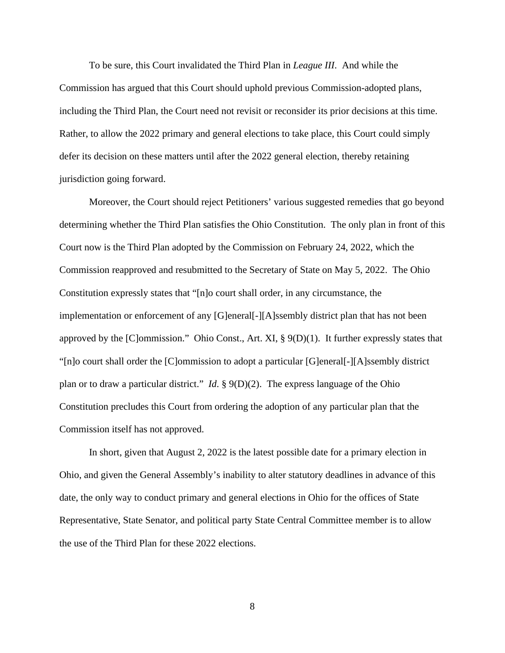To be sure, this Court invalidated the Third Plan in *League III*. And while the Commission has argued that this Court should uphold previous Commission-adopted plans, including the Third Plan, the Court need not revisit or reconsider its prior decisions at this time. Rather, to allow the 2022 primary and general elections to take place, this Court could simply defer its decision on these matters until after the 2022 general election, thereby retaining jurisdiction going forward.

Moreover, the Court should reject Petitioners' various suggested remedies that go beyond determining whether the Third Plan satisfies the Ohio Constitution. The only plan in front of this Court now is the Third Plan adopted by the Commission on February 24, 2022, which the Commission reapproved and resubmitted to the Secretary of State on May 5, 2022. The Ohio Constitution expressly states that "[n]o court shall order, in any circumstance, the implementation or enforcement of any [G]eneral[-][A]ssembly district plan that has not been approved by the [C]ommission." Ohio Const., Art. XI, § 9(D)(1). It further expressly states that "[n]o court shall order the [C]ommission to adopt a particular [G]eneral[-][A]ssembly district plan or to draw a particular district." *Id*. § 9(D)(2). The express language of the Ohio Constitution precludes this Court from ordering the adoption of any particular plan that the Commission itself has not approved.

In short, given that August 2, 2022 is the latest possible date for a primary election in Ohio, and given the General Assembly's inability to alter statutory deadlines in advance of this date, the only way to conduct primary and general elections in Ohio for the offices of State Representative, State Senator, and political party State Central Committee member is to allow the use of the Third Plan for these 2022 elections.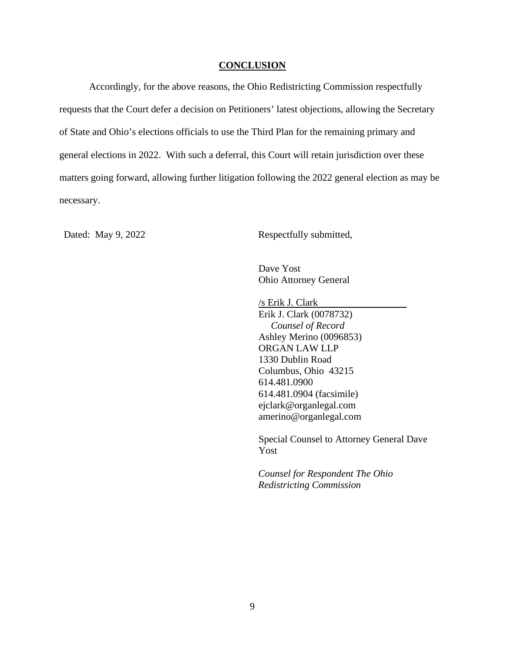#### **CONCLUSION**

Accordingly, for the above reasons, the Ohio Redistricting Commission respectfully requests that the Court defer a decision on Petitioners' latest objections, allowing the Secretary of State and Ohio's elections officials to use the Third Plan for the remaining primary and general elections in 2022. With such a deferral, this Court will retain jurisdiction over these matters going forward, allowing further litigation following the 2022 general election as may be necessary.

Dated: May 9, 2022 Respectfully submitted,

Dave Yost Ohio Attorney General

/s Erik J. Clark

Erik J. Clark (0078732) *Counsel of Record* Ashley Merino (0096853) ORGAN LAW LLP 1330 Dublin Road Columbus, Ohio 43215 614.481.0900 614.481.0904 (facsimile) ejclark@organlegal.com amerino@organlegal.com

Special Counsel to Attorney General Dave Yost

*Counsel for Respondent The Ohio Redistricting Commission*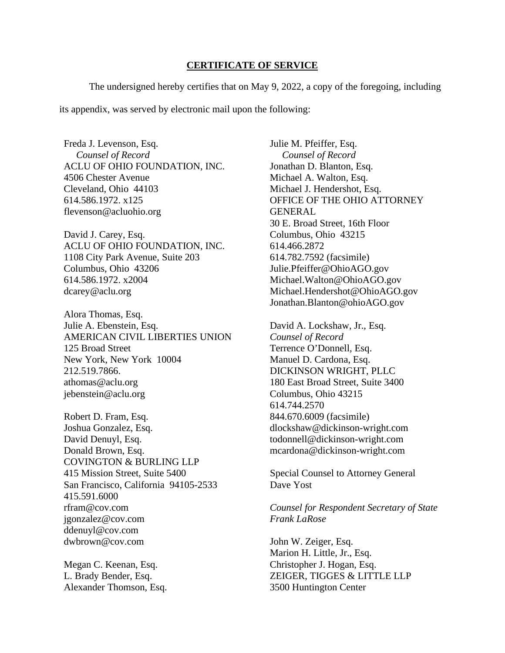#### **CERTIFICATE OF SERVICE**

The undersigned hereby certifies that on May 9, 2022, a copy of the foregoing, including its appendix, was served by electronic mail upon the following:

Freda J. Levenson, Esq.  *Counsel of Record* ACLU OF OHIO FOUNDATION, INC. 4506 Chester Avenue Cleveland, Ohio 44103 614.586.1972. x125 flevenson@acluohio.org

David J. Carey, Esq. ACLU OF OHIO FOUNDATION, INC. 1108 City Park Avenue, Suite 203 Columbus, Ohio 43206 614.586.1972. x2004 dcarey@aclu.org

Alora Thomas, Esq. Julie A. Ebenstein, Esq. AMERICAN CIVIL LIBERTIES UNION 125 Broad Street New York, New York 10004 212.519.7866. athomas@aclu.org jebenstein@aclu.org

Robert D. Fram, Esq. Joshua Gonzalez, Esq. David Denuyl, Esq. Donald Brown, Esq. COVINGTON & BURLING LLP 415 Mission Street, Suite 5400 San Francisco, California 94105-2533 415.591.6000 rfram@cov.com jgonzalez@cov.com ddenuyl@cov.com dwbrown@cov.com

Megan C. Keenan, Esq. L. Brady Bender, Esq. Alexander Thomson, Esq. Julie M. Pfeiffer, Esq.  *Counsel of Record* Jonathan D. Blanton, Esq. Michael A. Walton, Esq. Michael J. Hendershot, Esq. OFFICE OF THE OHIO ATTORNEY GENERAL 30 E. Broad Street, 16th Floor Columbus, Ohio 43215 614.466.2872 614.782.7592 (facsimile) Julie.Pfeiffer@OhioAGO.gov Michael.Walton@OhioAGO.gov Michael.Hendershot@OhioAGO.gov Jonathan.Blanton@ohioAGO.gov

David A. Lockshaw, Jr., Esq. *Counsel of Record* Terrence O'Donnell, Esq. Manuel D. Cardona, Esq. DICKINSON WRIGHT, PLLC 180 East Broad Street, Suite 3400 Columbus, Ohio 43215 614.744.2570 844.670.6009 (facsimile) dlockshaw@dickinson-wright.com todonnell@dickinson-wright.com mcardona@dickinson-wright.com

Special Counsel to Attorney General Dave Yost

*Counsel for Respondent Secretary of State Frank LaRose*

John W. Zeiger, Esq. Marion H. Little, Jr., Esq. Christopher J. Hogan, Esq. ZEIGER, TIGGES & LITTLE LLP 3500 Huntington Center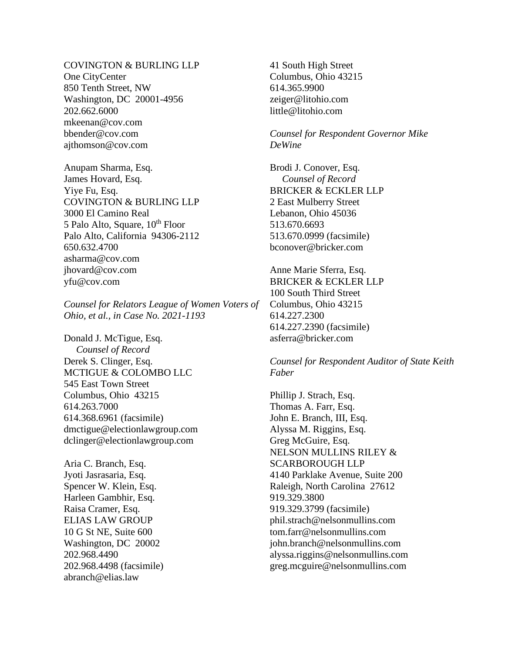COVINGTON & BURLING LLP One CityCenter 850 Tenth Street, NW Washington, DC 20001-4956 202.662.6000 mkeenan@cov.com bbender@cov.com ajthomson@cov.com

Anupam Sharma, Esq. James Hovard, Esq. Yiye Fu, Esq. COVINGTON & BURLING LLP 3000 El Camino Real 5 Palo Alto, Square,  $10^{th}$  Floor Palo Alto, California 94306-2112 650.632.4700 asharma@cov.com jhovard@cov.com yfu@cov.com

*Counsel for Relators League of Women Voters of Ohio, et al., in Case No. 2021-1193*

Donald J. McTigue, Esq. *Counsel of Record* Derek S. Clinger, Esq. MCTIGUE & COLOMBO LLC 545 East Town Street Columbus, Ohio 43215 614.263.7000 614.368.6961 (facsimile) dmctigue@electionlawgroup.com dclinger@electionlawgroup.com

Aria C. Branch, Esq. Jyoti Jasrasaria, Esq. Spencer W. Klein, Esq. Harleen Gambhir, Esq. Raisa Cramer, Esq. ELIAS LAW GROUP 10 G St NE, Suite 600 Washington, DC 20002 202.968.4490 202.968.4498 (facsimile) abranch@elias.law

41 South High Street Columbus, Ohio 43215 614.365.9900 zeiger@litohio.com little@litohio.com

*Counsel for Respondent Governor Mike DeWine* 

Brodi J. Conover, Esq. *Counsel of Record* BRICKER & ECKLER LLP 2 East Mulberry Street Lebanon, Ohio 45036 513.670.6693 513.670.0999 (facsimile) bconover@bricker.com

Anne Marie Sferra, Esq. BRICKER & ECKLER LLP 100 South Third Street Columbus, Ohio 43215 614.227.2300 614.227.2390 (facsimile) asferra@bricker.com

*Counsel for Respondent Auditor of State Keith Faber*

Phillip J. Strach, Esq. Thomas A. Farr, Esq. John E. Branch, III, Esq. Alyssa M. Riggins, Esq. Greg McGuire, Esq. NELSON MULLINS RILEY & SCARBOROUGH LLP 4140 Parklake Avenue, Suite 200 Raleigh, North Carolina 27612 919.329.3800 919.329.3799 (facsimile) phil.strach@nelsonmullins.com tom.farr@nelsonmullins.com john.branch@nelsonmullins.com alyssa.riggins@nelsonmullins.com greg.mcguire@nelsonmullins.com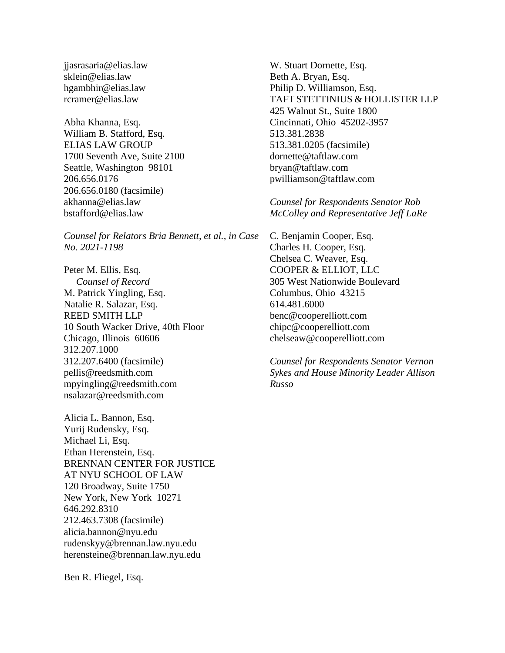jjasrasaria@elias.law sklein@elias.law hgambhir@elias.law rcramer@elias.law

Abha Khanna, Esq. William B. Stafford, Esq. ELIAS LAW GROUP 1700 Seventh Ave, Suite 2100 Seattle, Washington 98101 206.656.0176 206.656.0180 (facsimile) akhanna@elias.law bstafford@elias.law

*Counsel for Relators Bria Bennett, et al., in Case No. 2021-1198*

Peter M. Ellis, Esq.  *Counsel of Record* M. Patrick Yingling, Esq. Natalie R. Salazar, Esq. REED SMITH LLP 10 South Wacker Drive, 40th Floor Chicago, Illinois 60606 312.207.1000 312.207.6400 (facsimile) pellis@reedsmith.com mpyingling@reedsmith.com nsalazar@reedsmith.com

Alicia L. Bannon, Esq. Yurij Rudensky, Esq. Michael Li, Esq. Ethan Herenstein, Esq. BRENNAN CENTER FOR JUSTICE AT NYU SCHOOL OF LAW 120 Broadway, Suite 1750 New York, New York 10271 646.292.8310 212.463.7308 (facsimile) alicia.bannon@nyu.edu rudenskyy@brennan.law.nyu.edu herensteine@brennan.law.nyu.edu

Ben R. Fliegel, Esq.

W. Stuart Dornette, Esq. Beth A. Bryan, Esq. Philip D. Williamson, Esq. TAFT STETTINIUS & HOLLISTER LLP 425 Walnut St., Suite 1800 Cincinnati, Ohio 45202-3957 513.381.2838 513.381.0205 (facsimile) dornette@taftlaw.com bryan@taftlaw.com pwilliamson@taftlaw.com

*Counsel for Respondents Senator Rob McColley and Representative Jeff LaRe*

C. Benjamin Cooper, Esq. Charles H. Cooper, Esq. Chelsea C. Weaver, Esq. COOPER & ELLIOT, LLC 305 West Nationwide Boulevard Columbus, Ohio 43215 614.481.6000 benc@cooperelliott.com chipc@cooperelliott.com chelseaw@cooperelliott.com

*Counsel for Respondents Senator Vernon Sykes and House Minority Leader Allison Russo*